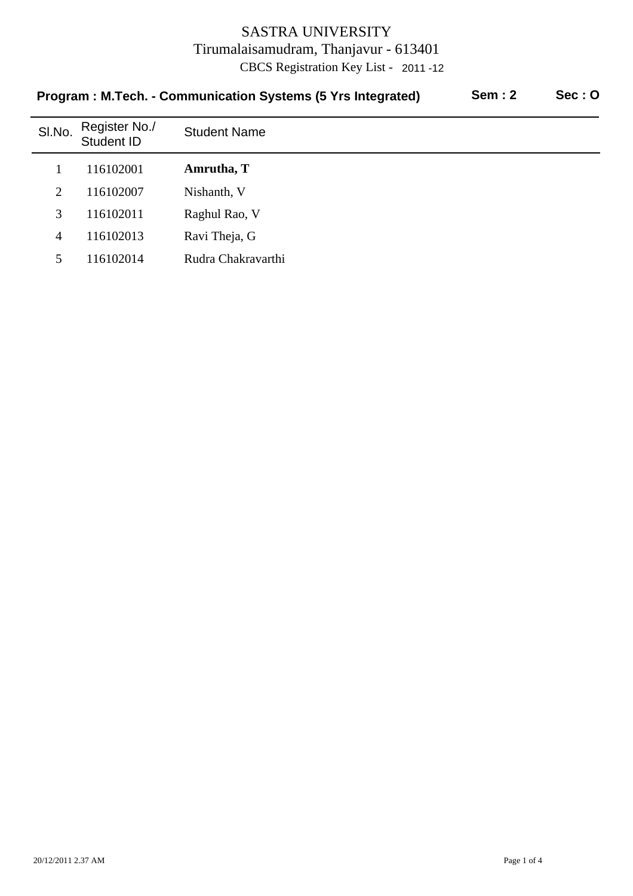| <b>Sem: 2</b><br>Program: M.Tech. - Communication Systems (5 Yrs Integrated) |                             |                     |  | Sec:O |
|------------------------------------------------------------------------------|-----------------------------|---------------------|--|-------|
| SI.No.                                                                       | Register No./<br>Student ID | <b>Student Name</b> |  |       |
|                                                                              | 116102001                   | Amrutha, T          |  |       |
| $\overline{2}$                                                               | 116102007                   | Nishanth, V         |  |       |
| 3                                                                            | 116102011                   | Raghul Rao, V       |  |       |
| 4                                                                            | 116102013                   | Ravi Theja, G       |  |       |
| 5                                                                            | 116102014                   | Rudra Chakravarthi  |  |       |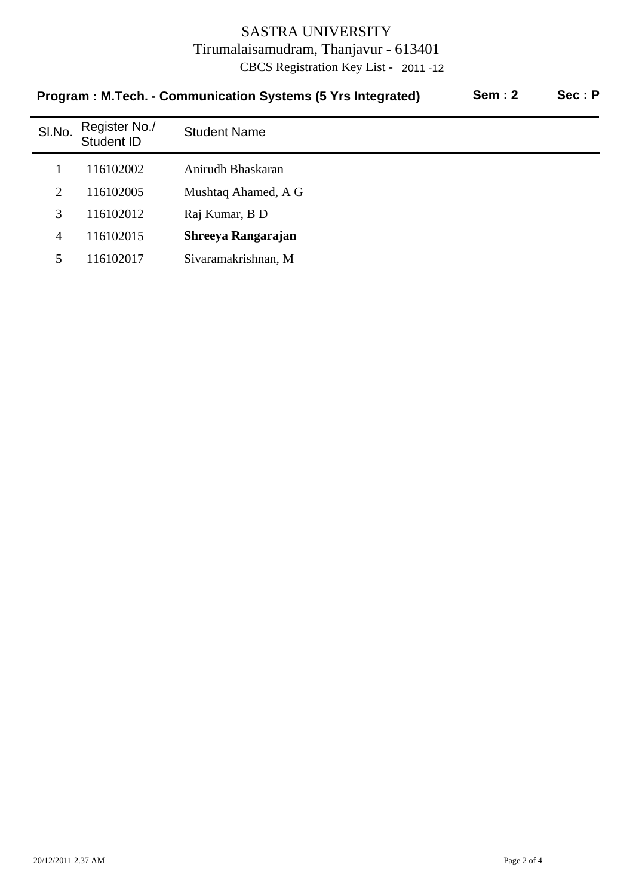| Program: M.Tech. - Communication Systems (5 Yrs Integrated) |                             |                     | <b>Sem: 2</b> | Sec: P |
|-------------------------------------------------------------|-----------------------------|---------------------|---------------|--------|
| SI.No.                                                      | Register No./<br>Student ID | <b>Student Name</b> |               |        |
|                                                             | 116102002                   | Anirudh Bhaskaran   |               |        |
| 2                                                           | 116102005                   | Mushtaq Ahamed, A G |               |        |
| 3                                                           | 116102012                   | Raj Kumar, B D      |               |        |
| $\overline{4}$                                              | 116102015                   | Shreeya Rangarajan  |               |        |
| 5                                                           | 116102017                   | Sivaramakrishnan, M |               |        |
|                                                             |                             |                     |               |        |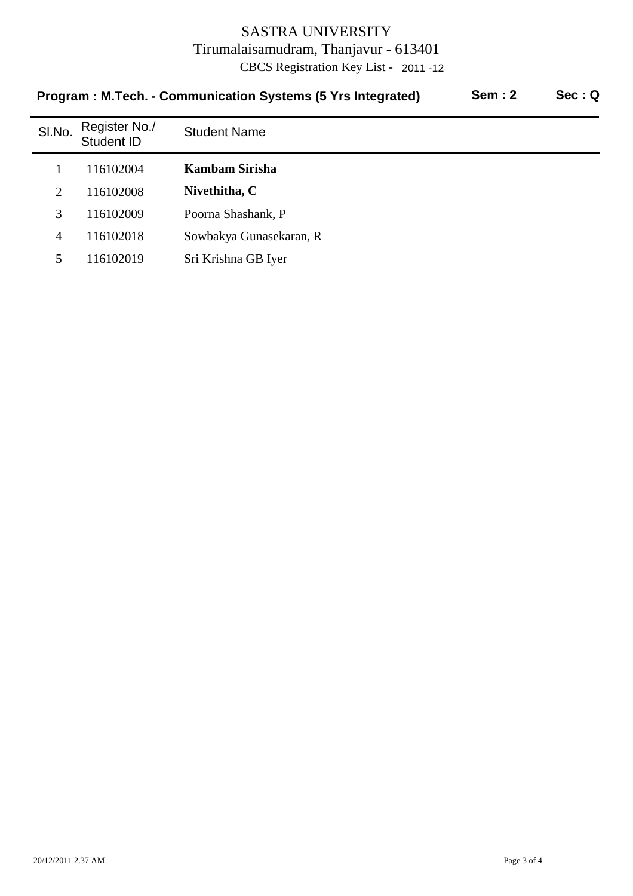| <b>Sem: 2</b><br>Program: M.Tech. - Communication Systems (5 Yrs Integrated) |                             |                         |  | Sec:Q |
|------------------------------------------------------------------------------|-----------------------------|-------------------------|--|-------|
| SI.No.                                                                       | Register No./<br>Student ID | <b>Student Name</b>     |  |       |
|                                                                              | 116102004                   | Kambam Sirisha          |  |       |
| $\overline{2}$                                                               | 116102008                   | Nivethitha, C           |  |       |
| 3                                                                            | 116102009                   | Poorna Shashank, P      |  |       |
| $\overline{4}$                                                               | 116102018                   | Sowbakya Gunasekaran, R |  |       |
| 5                                                                            | 116102019                   | Sri Krishna GB Iyer     |  |       |